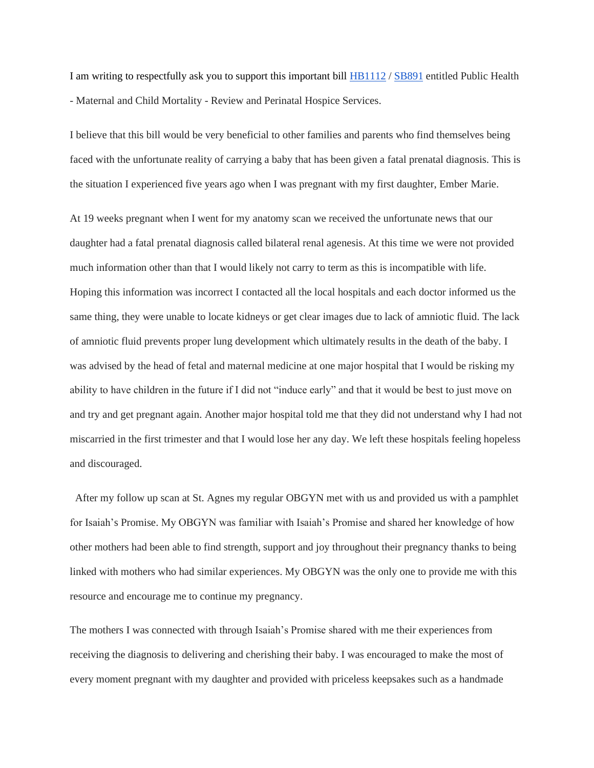I am writing to respectfully ask you to support this important bill [HB1112](https://mgaleg.maryland.gov/2021RS/bills/hb/hb1112f.pdf) / [SB891](https://mgaleg.maryland.gov/mgawebsite/Legislation/Details/SB0891?ys=2021RS) entitled Public Health - Maternal and Child Mortality - Review and Perinatal Hospice Services.

I believe that this bill would be very beneficial to other families and parents who find themselves being faced with the unfortunate reality of carrying a baby that has been given a fatal prenatal diagnosis. This is the situation I experienced five years ago when I was pregnant with my first daughter, Ember Marie.

At 19 weeks pregnant when I went for my anatomy scan we received the unfortunate news that our daughter had a fatal prenatal diagnosis called bilateral renal agenesis. At this time we were not provided much information other than that I would likely not carry to term as this is incompatible with life. Hoping this information was incorrect I contacted all the local hospitals and each doctor informed us the same thing, they were unable to locate kidneys or get clear images due to lack of amniotic fluid. The lack of amniotic fluid prevents proper lung development which ultimately results in the death of the baby. I was advised by the head of fetal and maternal medicine at one major hospital that I would be risking my ability to have children in the future if I did not "induce early" and that it would be best to just move on and try and get pregnant again. Another major hospital told me that they did not understand why I had not miscarried in the first trimester and that I would lose her any day. We left these hospitals feeling hopeless and discouraged.

After my follow up scan at St. Agnes my regular OBGYN met with us and provided us with a pamphlet for Isaiah's Promise. My OBGYN was familiar with Isaiah's Promise and shared her knowledge of how other mothers had been able to find strength, support and joy throughout their pregnancy thanks to being linked with mothers who had similar experiences. My OBGYN was the only one to provide me with this resource and encourage me to continue my pregnancy.

The mothers I was connected with through Isaiah's Promise shared with me their experiences from receiving the diagnosis to delivering and cherishing their baby. I was encouraged to make the most of every moment pregnant with my daughter and provided with priceless keepsakes such as a handmade